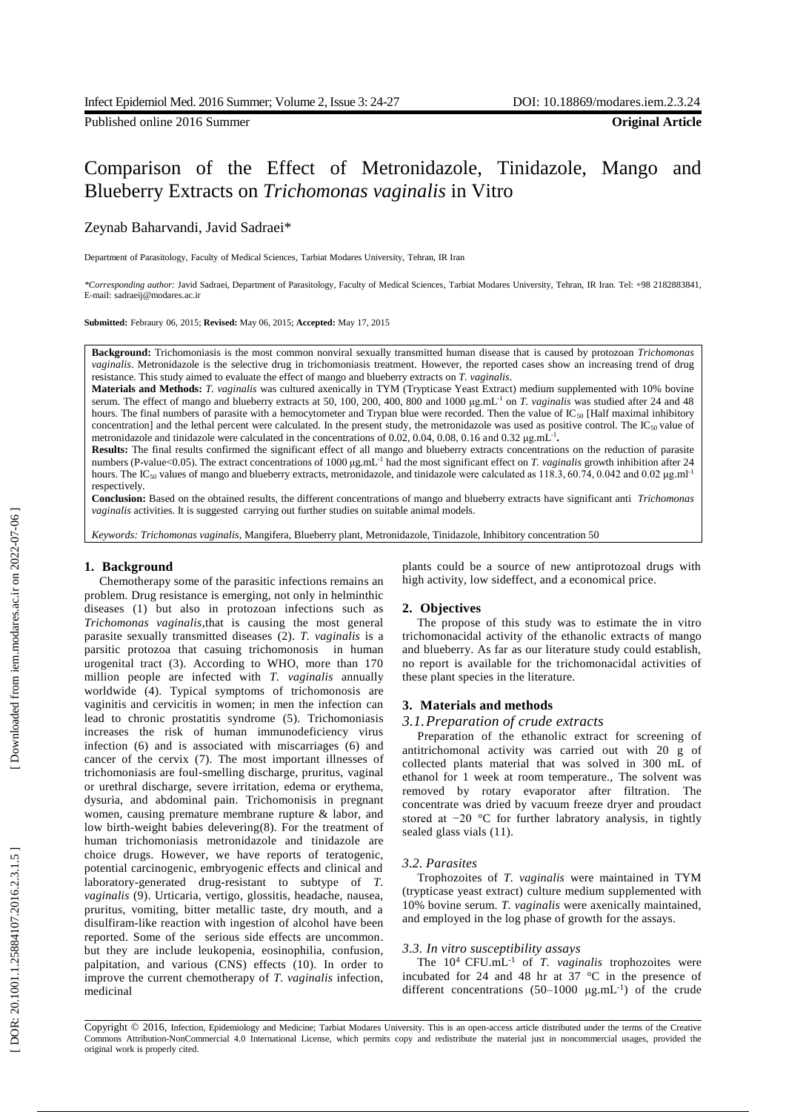Published online 2016 Summer **Original Article**

# Comparison of the Effect of Metronidazole, Tinidazole, Mango and Blueberry Extracts on *Trichomonas vaginalis* in Vitro

## Ze ynab Bah arvandi, Javid Sadraei\*

Department of Parasitology, Faculty of Medical Sciences, Tarbiat Modares University, Tehran, IR Iran

*\*Corresponding author:* Javid Sadraei, Department of Parasitology, Faculty of Medical Sciences, Tarbiat Modares University, Tehran, IR Iran. Tel: +98 2182883841, E-mail: sadraeij@modares.ac.ir

**Submitted:** Febraury 06 , 2015; **Revised:** May 06 , 2015; **Accepted:** May 17 , 2015

**Background :** Trichomoniasis is the most common nonviral sexually transmitted human disease that is caused by protozoan *Trichomonas vaginalis*. Metronidazole is the selective drug in trichomoniasis treatment. However, the reported cases show an increasing trend of drug resistance. This study aimed to evaluate the effect of mango and blueberry extracts on *T. vaginalis* .

**Materials and Methods:** *T. vaginalis* was cultured axenically in TYM (Trypticase Yeast Extrac t) medium supplemented with 10% bovine serum. The effect of mango and blueberry extracts at 50, 100, 200, 400, 800 and 1000 μg.mL<sup>-1</sup> on *T. vaginalis* was studied after 24 and 48 hours. The final numbers of parasite with a hemocytometer and Trypan blue were recorded. Then the value of  $IC_{50}$  [Half maximal inhibitory concentration] and the lethal percent were calculated. In the present study, the metronidazole was used as positive control. The  $IC_{50}$  value of metronidazole and tinidazole were calculated in the concentrations of 0.02, 0.04, 0.08, 0.16 and 0.32  $\mu$ g.mL<sup>-1</sup>.

**Results:** The final results confirmed the significant effect of all mango and blueberry extracts concentrations on the reduction of parasite numbers (P-value<0.05). The extract concentrations of 1000 µg.mL<sup>-1</sup> had the most significant effect on *T. vaginalis* growth inhibition after 24 hours. The IC<sub>50</sub> values of mango and blueberry extracts, metronidazole, and tinidazole were calculated as 118.3, 60.74, 0.042 and 0.02 µg.ml<sup>-1</sup> respectively.

**Conclusion:** Based on the obtained results, the different concentrations of mango and blueberry extracts have significant anti *Trichomonas vaginalis* activities. It is suggested carrying out further studies on suitable animal models .

*Keywords: Trichomonas vaginalis*, Mangifera, Blu eberry plant, Metronidazole, Tinidazole, Inhibitory concentration 50

## **1 . Background**

Chemotherapy some of the parasitic infections remain s an problem. Drug resistance is emerging, not only in helminthic diseases (1) but also in protozoan infections such as Trichomonas vaginalis, that is causing the most general parasite sexually transmitted diseases (2). *T. vaginalis* is a parsitic protozoa that casuing trichomonosis in human urogenital tract (3). According to WHO, more than 170 million people are infected with *T. vaginalis* annually worldwide (4). Typical symptoms of trichomonosis are vaginitis and cervicitis in women; in men the infection can lead to chronic prostatitis syndrome (5). Trichomoniasis increases the risk of human immunodeficiency virus infection (6) and is associated with miscarriages (6) and cancer of the cervix (7). The most important illnesses of trichomoniasis are foul -smelling discharge, pruritus, vaginal or urethral discharge, severe irritation, edema or erythema, dysuria, and abdominal pain. Trichomonisis in pregnant women, causing premature membrane rupture & labor, and low birth -weight babies delevering(8). For the treatment of human trichomoniasis metronidazole and tinidazole are choice drugs. However, we have reports of teratogenic, potential carcinogenic, embryogenic effects and clinical and laboratory-generated drug-resistant to subtype of T. *vaginalis* (9). Urticaria, vertigo, glossitis, headache, nausea, pruritus, vomiting, bitter metallic taste, dry mouth, and a disulfiram -like reaction with ingestion of alcohol have been reported. Some of the serious side effects are uncommon . but they are include leukopenia, eosinophilia, confusion , palpitation, and various (CNS) effects (10). In order to improve the current chemotherapy of *T. vaginalis* infection, medicinal

plants could be a source of new antiprotozoal drugs with high activity, low sideffect , and a economical price.

## **2 . Objectives**

The propose of this study was to estimate the in vitro trichomonacidal activity of the ethanolic extracts of mango and blueberry. As far as our literature study could establish, no report is available for the trichomonacidal activities of these plant species in the literature.

#### **3. Materials and methods**

## *3.1 .Preparation of crude extracts*

Preparation of the ethanolic extract for screening of antitrichomonal activity was carried out with 20 g of collected plants material that was solved in 300 mL of ethanol for 1 week at room temperature., The solvent was removed by rotary evaporator after filtration. The concentrate was dried by vacuum freeze dryer and proudact stored at −20 °C for further labratory analysis , in tightly sealed glass vials (11) .

## *3.2 . Parasites*

Trophozoites of *T. vaginalis* were maintained in TYM (trypticase yeast extract) culture medium supplemented with 10% bovine serum. *T. vaginalis* were axenically maintained, and employed in the log phase of growth for the assays .

#### *3.3. In vitro susceptibility assays*

The  $10^4$  CFU.mL<sup>-1</sup> of *T. vaginalis* trophozoites were incubated for 24 and 48 hr at 37  $\degree$ C in the presence of different concentrations  $(50-1000 \mu g.mL^{-1})$  of the crude

Copyright © 2016, Infection, Epidemiology and Medicine; Tarbiat Modares University. This is an open-access article distributed under the terms of the Creative Commons Attribution -NonCommercial 4.0 International License, which permits copy and redistribute the material just in noncommercial usages, provided the original work is properly cited.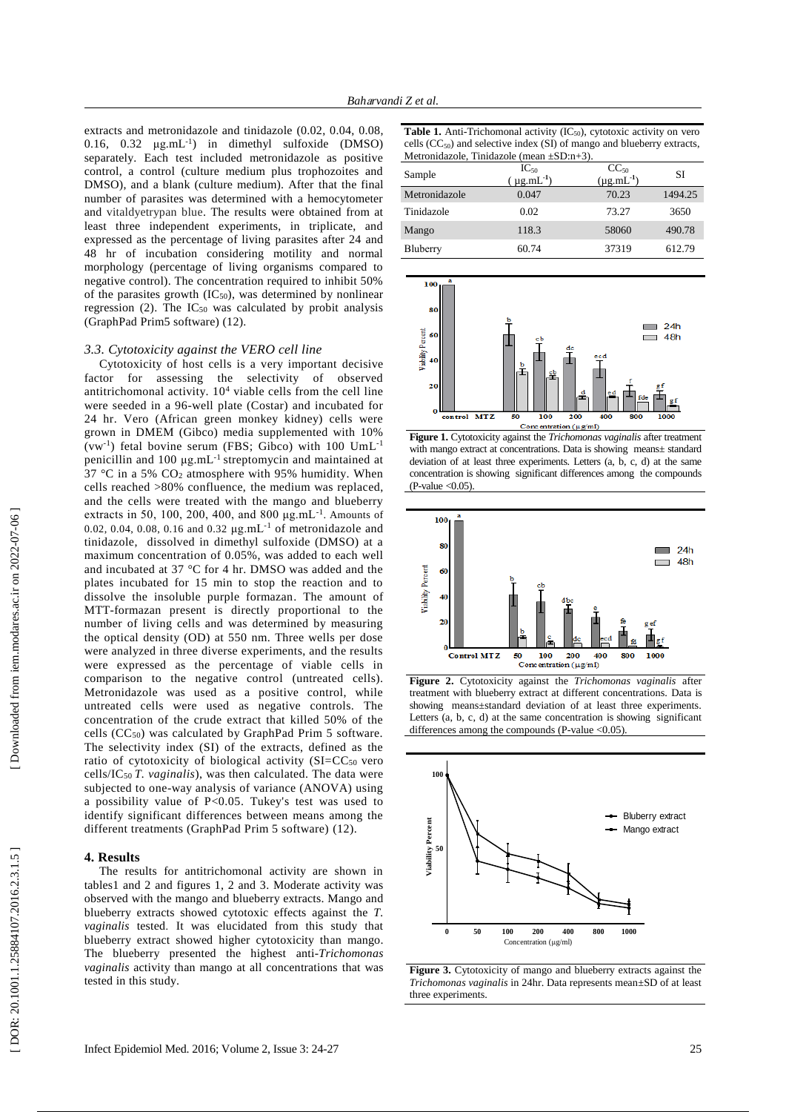extracts and metronidazole and tinidazole (0.02 , 0.04, 0.08, 0.16,  $0.32 \mu g.mL^{-1}$  in dimethyl sulfoxide (DMSO) separately. Each test included metronidazole as positive control, a control (culture medium plus trophozoites and DMSO), and a blank (culture medium). After that the final number of parasites was determined with a hemocytometer and vitaldyetrypan blue. The results were obtained from at least three independent experiments, in triplicate, and expressed as the percentage of living parasites after 24 and 48 h r of incubation considering motility and normal morphology (percentage of living organisms compared to negative control). The concentration required to inhibit 50% of the parasites growth  $(IC<sub>50</sub>)$ , was determined by nonlinear regression  $(2)$ . The IC<sub>50</sub> was calculated by probit analysis (GraphPad Prim5 software) (12) .

#### *3.3. Cytotoxicity against the VERO cell line*

Cytotoxicity of host cells is a very important decisive factor for assessing the selectivity of observed antitrichomonal activity. 10 <sup>4</sup> viable cells from the cell line were seeded in a 96 -well plate (Costar) and incubated for 24 h r. Vero (African green monkey kidney) cells were grown in DMEM (Gibco) media supplemented with 10% (vw<sup>-1</sup>) fetal bovine serum (FBS; Gibco) with  $100 \text{ UmL}^{-1}$ penicillin and 100 μg .mL - 1 streptomycin and maintained at 37 °C in a 5% CO <sup>2</sup> atmosphere with 95% humidity. When cells reached >80% confluence, the medium was replaced, and the cells were treated with the mango and blueberry extracts in 50, 100, 200, 400, and 800  $\mu$ g.mL<sup>-1</sup>. Amounts of 0.02, 0.04, 0.08, 0.16 and 0.32  $\mu$ g.mL<sup>-1</sup> of metronidazole and tinidazole , dissolved in dimethyl sulfoxide (DMSO) at a maximum concentration of 0.05% , was added to each well and incubated at 37 °C for 4 hr. DMSO was added and the plates incubated for 15 min to stop the reaction and to dissolve the insoluble purple formazan. The amount of MTT -formazan present is directly proportional to the number of living cells and was determined by measuring the optical density (OD) at 550 nm. Three wells per dose were analyzed in three diverse experiments, and the results were expressed as the percentage of viable cells in comparison to the negative control (untreated cells). Metronidazole was used as a positive control, while untreated cells were used as negative controls. The concentration of the crude extract that killed 50% of the cells (CC50) was calculated by GraphPad Prim 5 software. The selectivity index (SI) of the extracts, defined as the ratio of cytotoxicity of biological activity  $(SI=CC<sub>50</sub>$  vero cells/IC<sup>50</sup> *T. vaginalis* ) , was then calculated. The data were subjected to one -way analysis of variance (ANOVA) using a possibility value of P<0.05. Tukey's test was used to identify significant differences between means among the different treatments (GraphPad Prim 5 software) (12) .

## **4. Results**

The results for antitrichomonal activity are shown in tables 1 and 2 and figures 1, 2 and 3. Moderate activity was observed with the mango and blueberry extracts. Mango and blueberry extracts showed cytotoxic effects against the *T. vaginalis* tested . It was elucidated from this study that blueberry extract showed higher cytotoxicity than mango. The blueberry presented the highest anti-Trichomonas *vaginalis* activity than mango at all concentrations that was tested in this study .

| <b>Table 1.</b> Anti-Trichomonal activity $(IC_{50})$ , cytotoxic activity on vero |
|------------------------------------------------------------------------------------|
| cells $(CC_{50})$ and selective index (SI) of mango and blueberry extracts,        |
| Metronidazole, Tinidazole (mean $\pm SD:n+3$ ).                                    |

| Sample        | $IC_{50}$<br>$(\mu g.mL^{-1})$ | $CC_{50}$<br>$(\mu g.mL^{-1})$ | SI      |
|---------------|--------------------------------|--------------------------------|---------|
| Metronidazole | 0.047                          | 70.23                          | 1494.25 |
| Tinidazole    | 0.02                           | 73.27                          | 3650    |
| Mango         | 118.3                          | 58060                          | 490.78  |
| Bluberry      | 60.74                          | 37319                          | 612.79  |



**Figure 1.** Cytotoxicity against the *Trichomonas vaginalis* after treatment with mango extract at concentrations. Data is showing means± standard deviation of at least three experiments. Letters (a, b, c, d) at the same concentration is showing significant differences amon g the compounds  $(P$ -value < 0.05).



**Figure 2.** Cytotoxicity against the *Trichomonas vaginalis* after treatment with blueberry extract at different concentrations. Data is showing means±standard deviation of at least three experiments. Letters (a, b, c, d) at the same concentration is showing significant differences among the compounds (P-value < 0.05).



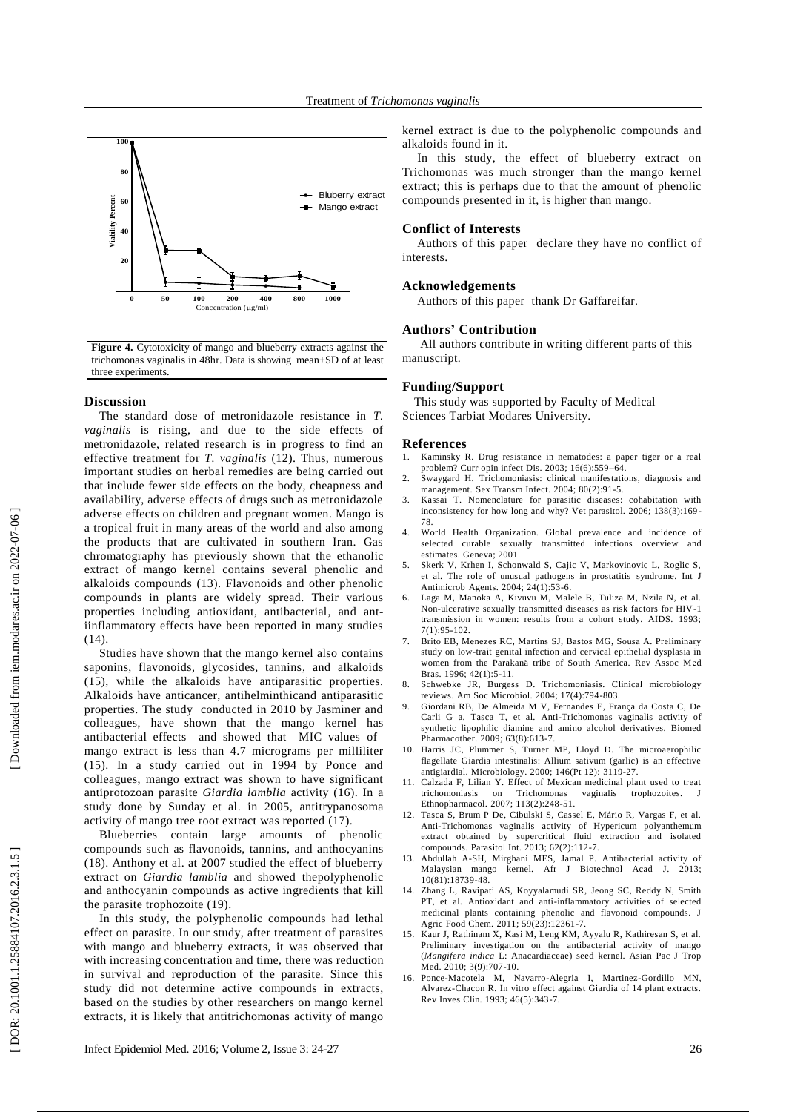

**Figure 4.** Cytotoxicity of mango and blueberry extracts against the trichomonas vaginalis in 48h r. Data is showing mean ±SD of at least three experiments.

#### **Discussion**

The standard dose of metronidazole resistance in *T. vaginalis* is rising , and due to the side effects of metronidazole, related research is in progress to find an effective treatment for *T. vaginalis* (12). Thus, numerous important studies on herbal remedies are being carried out that include fewer side effects on the body, cheapness and availability, adverse effects of drugs such as metronidazole adverse effects on children and pregnant women. Mango is a tropical fruit in many areas of the world and also among the products that are cultivated in southern Iran. Gas chromatography has previously show n that the ethanolic extract of mango kernel contains several phenolic and alkaloids compounds (13). Flavonoids and other phenolic compounds in plants are widely spread. Their various properties including antioxidant, antibacterial , and ant iinflammatory effects have been reported in many studies (14).

Studies have shown that the mango kernel also contains saponins, flavonoids, glycosides, tannins , and alkaloids (15), while the alkaloids have antiparasitic properties. Alkaloids have anticancer, antihelminthicand antiparasitic properties. The study conducted in 2010 by Jasminer and colleagues, have shown that the mango kernel has antibacterial effects and showed that MIC values of mango extract is less than 4.7 micrograms per milliliter (15). In a study carried out in 1994 by Ponce and colleagues, mango extract was shown to have significant antiprotozoan parasite *Giardia lamblia* activity (16). In a study done by Sunday et al. in 2005, antitrypanosoma activity of mango tree root extract was reported (17) .

Blueberries contain large amounts of phenolic compounds such as flavonoids, tannins , and anthocyanins (18). Anthony et al . at 2007 studied the effect of blueberry extract on *Giardia lamblia* and showed thepolyphenolic and anthocyanin compounds as active ingredients that kill the parasite trophozoite (19).

In this study, the polyphenolic compounds had lethal effect on parasite . In our study , after treatment of parasites with mango and blueberry extracts, it was observed that with increasing concentration and time, there was reduction in survival and reproduction of the parasite. Since this study did not determine active compounds in extracts , based on the studies by other researcher s on mango kernel extracts, it is likely that antitrichomonas activity of mango

kernel extract is due to the polyphenolic compounds and alkaloid s found in it.

In this study , the effect of blueberry extract on Trichomonas was much stronger than the mango kernel extract; this is perhaps due to that the amount of phenolic compounds presented in it , is higher than mango.

#### **Conflict of Interests**

Authors of this paper declare the y have no conflict of interests.

## **Acknowledgements**

Authors of this paper thank Dr Gaffareifar.

#### **Authors ' Contribution**

All authors contribute in writing different parts of this manuscript.

#### **Funding/Support**

This study was supported by Faculty of Medical Sciences Tarbiat Modares University.

#### **References**

- 1. Kaminsky R. Drug resistance in nematodes: a paper tiger or a real problem? Curr opin infect Dis. 2003; 16(6):559 –64.
- 2 . Swaygard H. Trichomoniasis: clinical manifestations, diagnosis and management. Sex Transm Infect. 2004; 80(2):91 -5.
- 3 . Kassai T. Nomenclature for parasitic diseases: cohabitation with inconsistency for how long and why? Vet parasitol. 2006; 138(3):169 - 78.
- 4 . World Health Organization. Global prevalence and incidence of selected curable sexually transmitted infections overview and estimates. Geneva; 2001.
- 5 . Skerk V, Krhen I, Schonwald S, Cajic V, Markovinovic L, Roglic S, et al. The role of unusual pathogens in prostatitis syndrome. Int J Antimicrob Agents. 2004; 24(1):53 -6.
- 6 . Laga M, Manoka A, Kivuvu M, Malele B, Tuliza M, Nzila N, et al. Non -ulcerative sexually transmitted diseases as risk factors for HIV -1 transmission in women: results from a cohort study. AIDS. 1993; 7(1):95 -102.
- 7 . Brito EB, Menezes RC, Martins SJ, Bastos MG, Sousa A. Preliminary study on low -trait genital infection and cervical epithelial dysplasia in women from the Parakanä tribe of South America. Rev Assoc M ed Bras. 1996; 42(1):5 -11.
- 8 . Schwebke JR, Burgess D. Trichomoniasis. Clinical microbiology reviews. Am Soc Microbiol. 2004; 17(4):794 -803.
- 9 . Giordani RB, De Almeida M V, Fernandes E, França da Costa C, De Carli G a, Tasca T, et al. Anti -Trichomonas vaginalis activity of synthetic lipophilic diamine and amino alcohol derivatives. Biomed Pharmacother. 2009; 63(8):613-7.
- 10 . Harris JC, Plummer S, Turner MP, Lloyd D. The microaerophilic flagellate Giardia intestinalis: Allium sativum (garlic) is an effective antigiardial. Microbiology. 2000; 146(Pt 12): 3119 -27.
- 11 . Calzada F, Lilian Y. Effect of Mexican medicinal plant used to treat trichomoniasis on Trichomonas vaginalis trophozoites. J Ethnopharmacol. 2007; 113(2):248 -51.
- 12 . Tasca S, Brum P De, Cibulski S, Cassel E, Mário R, Vargas F, et al. Anti -Trichomonas vaginalis activity of Hypericum polyanthemum extract obtained by supercritical fluid extraction and isolated compounds. Parasitol Int. 2013; 62(2):112 -7.
- 13 . Abdullah A -SH, Mirghani MES, Jamal P. Antibacterial activity of Malaysian mango kernel. Afr J Biotechnol Acad J. 2013; 10(81):18739 -48.
- 14 . Zhang L, Ravipati AS, Koyyalamudi SR, Jeong SC, Reddy N, Smith PT, et al. Antioxidant and anti -inflammatory activities of selected medicinal plants containing phenolic and flavonoid compounds. J Agric Food Chem. 2011; 59(23):12361 -7.
- 15 Kaur J, Rathinam X, Kasi M, Leng KM, Ayyalu R, Kathiresan S, et al.<br>Preliminary investigation on the antibacterial activity of mango (Mangifera indica L: Anacardiaceae) seed kernel. Asian Pac J Trop Med. 2010; 3(9):707-10.
- 16 . Ponce -Macotela M, Navarro -Alegria I, Martinez -Gordillo MN, Alvarez -Chacon R. In vitro effect against Giardia of 14 plant extracts. Rev Inves Clin. 1993; 46(5):343 -7.